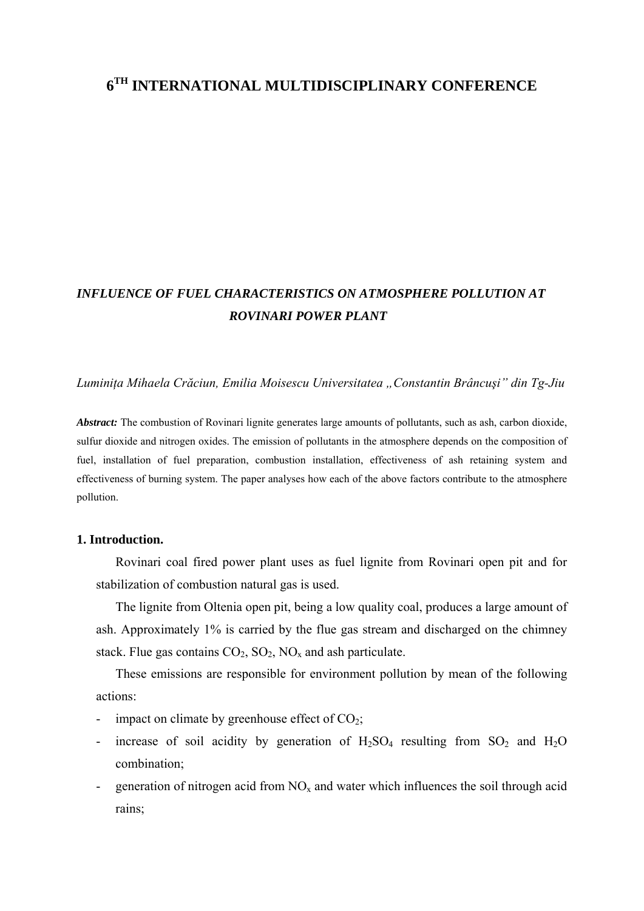# **6TH INTERNATIONAL MULTIDISCIPLINARY CONFERENCE**

# *INFLUENCE OF FUEL CHARACTERISTICS ON ATMOSPHERE POLLUTION AT ROVINARI POWER PLANT*

*Luminiţa Mihaela Crăciun, Emilia Moisescu Universitatea "Constantin Brâncuşi" din Tg-Jiu* 

*Abstract:* The combustion of Rovinari lignite generates large amounts of pollutants, such as ash, carbon dioxide, sulfur dioxide and nitrogen oxides. The emission of pollutants in the atmosphere depends on the composition of fuel, installation of fuel preparation, combustion installation, effectiveness of ash retaining system and effectiveness of burning system. The paper analyses how each of the above factors contribute to the atmosphere pollution.

#### **1. Introduction.**

Rovinari coal fired power plant uses as fuel lignite from Rovinari open pit and for stabilization of combustion natural gas is used.

The lignite from Oltenia open pit, being a low quality coal, produces a large amount of ash. Approximately 1% is carried by the flue gas stream and discharged on the chimney stack. Flue gas contains  $CO_2$ ,  $SO_2$ ,  $NO_x$  and ash particulate.

 These emissions are responsible for environment pollution by mean of the following actions:

- impact on climate by greenhouse effect of  $CO<sub>2</sub>$ ;
- increase of soil acidity by generation of  $H_2SO_4$  resulting from  $SO_2$  and  $H_2O$ combination;
- generation of nitrogen acid from  $NO<sub>x</sub>$  and water which influences the soil through acid rains;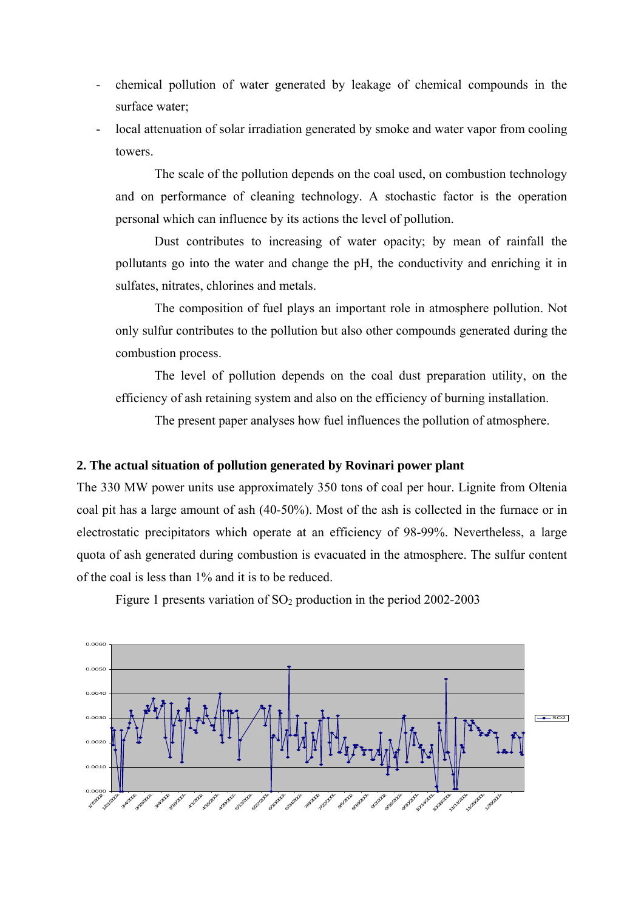- chemical pollution of water generated by leakage of chemical compounds in the surface water;
- local attenuation of solar irradiation generated by smoke and water vapor from cooling towers.

The scale of the pollution depends on the coal used, on combustion technology and on performance of cleaning technology. A stochastic factor is the operation personal which can influence by its actions the level of pollution.

 Dust contributes to increasing of water opacity; by mean of rainfall the pollutants go into the water and change the pH, the conductivity and enriching it in sulfates, nitrates, chlorines and metals.

 The composition of fuel plays an important role in atmosphere pollution. Not only sulfur contributes to the pollution but also other compounds generated during the combustion process.

 The level of pollution depends on the coal dust preparation utility, on the efficiency of ash retaining system and also on the efficiency of burning installation.

The present paper analyses how fuel influences the pollution of atmosphere.

#### **2. The actual situation of pollution generated by Rovinari power plant**

The 330 MW power units use approximately 350 tons of coal per hour. Lignite from Oltenia coal pit has a large amount of ash (40-50%). Most of the ash is collected in the furnace or in electrostatic precipitators which operate at an efficiency of 98-99%. Nevertheless, a large quota of ash generated during combustion is evacuated in the atmosphere. The sulfur content of the coal is less than 1% and it is to be reduced.



Figure 1 presents variation of  $SO<sub>2</sub>$  production in the period 2002-2003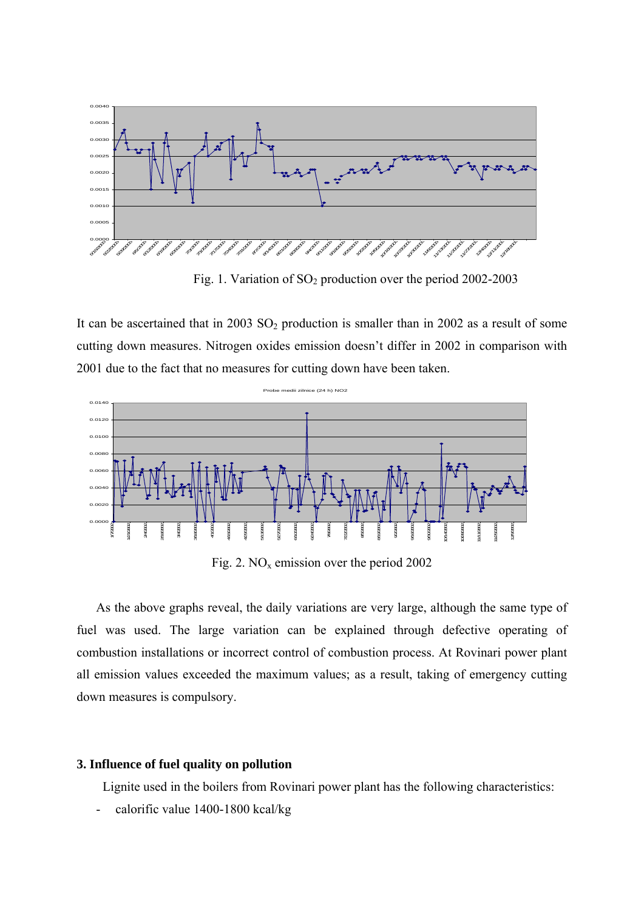

Fig. 1. Variation of  $SO_2$  production over the period 2002-2003

It can be ascertained that in 2003  $SO_2$  production is smaller than in 2002 as a result of some cutting down measures. Nitrogen oxides emission doesn't differ in 2002 in comparison with 2001 due to the fact that no measures for cutting down have been taken.



Fig. 2.  $NO<sub>x</sub>$  emission over the period 2002

 As the above graphs reveal, the daily variations are very large, although the same type of fuel was used. The large variation can be explained through defective operating of combustion installations or incorrect control of combustion process. At Rovinari power plant all emission values exceeded the maximum values; as a result, taking of emergency cutting down measures is compulsory.

# **3. Influence of fuel quality on pollution**

Lignite used in the boilers from Rovinari power plant has the following characteristics:

- calorific value 1400-1800 kcal/kg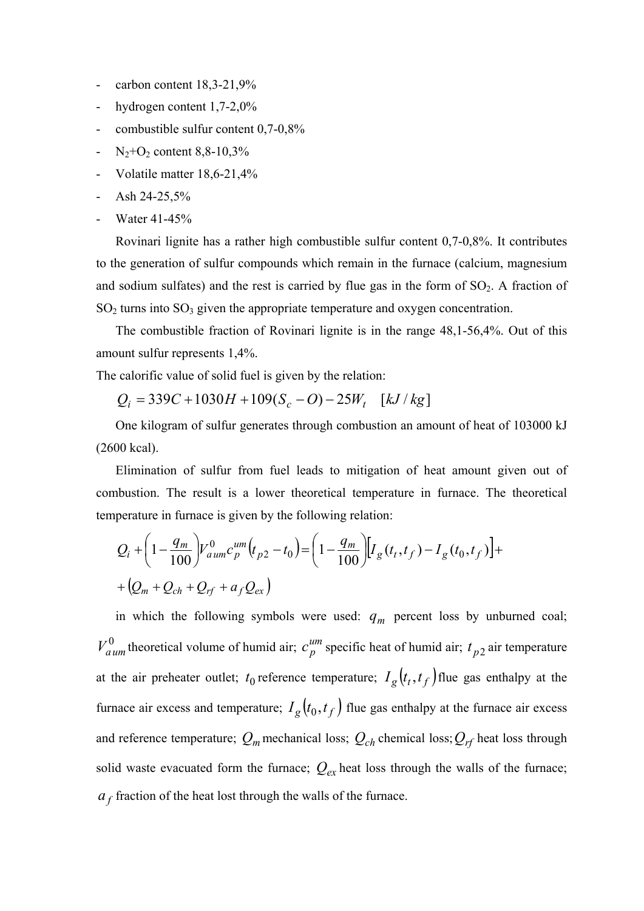- carbon content  $18,3-21,9%$
- hydrogen content 1,7-2,0%
- combustible sulfur content 0,7-0,8%
- $N_2 + O_2$  content 8,8-10,3%
- Volatile matter 18,6-21,4%
- Ash  $24-25.5%$
- Water 41-45%

 Rovinari lignite has a rather high combustible sulfur content 0,7-0,8%. It contributes to the generation of sulfur compounds which remain in the furnace (calcium, magnesium and sodium sulfates) and the rest is carried by flue gas in the form of  $SO_2$ . A fraction of  $SO<sub>2</sub>$  turns into  $SO<sub>3</sub>$  given the appropriate temperature and oxygen concentration.

 The combustible fraction of Rovinari lignite is in the range 48,1-56,4%. Out of this amount sulfur represents 1,4%.

The calorific value of solid fuel is given by the relation:

$$
Q_i = 339C + 1030H + 109(S_c - O) - 25W_t \quad [kJ/kg]
$$

One kilogram of sulfur generates through combustion an amount of heat of 103000 kJ (2600 kcal).

Elimination of sulfur from fuel leads to mitigation of heat amount given out of combustion. The result is a lower theoretical temperature in furnace. The theoretical temperature in furnace is given by the following relation:

$$
Q_{i} + \left(1 - \frac{q_{m}}{100}\right) V_{aum}^{0} c_{p}^{um} (t_{p2} - t_{0}) = \left(1 - \frac{q_{m}}{100}\right) [I_{g}(t_{t}, t_{f}) - I_{g}(t_{0}, t_{f})] +
$$
  
+  $(Q_{m} + Q_{ch} + Q_{rf} + a_{f} Q_{ex})$ 

in which the following symbols were used:  $q_m$  percent loss by unburned coal;  $V_{aum}^0$  theoretical volume of humid air;  $c_p^{um}$  specific heat of humid air;  $t_{p2}$  air temperature at the air preheater outlet;  $t_0$  reference temperature;  $I_g(t_t, t_f)$  flue gas enthalpy at the furnace air excess and temperature;  $I_g(t_0, t_f)$  flue gas enthalpy at the furnace air excess and reference temperature;  $Q_m$  mechanical loss;  $Q_{ch}$  chemical loss;  $Q_{rf}$  heat loss through solid waste evacuated form the furnace;  $Q_{ex}$  heat loss through the walls of the furnace;  $a_f$  fraction of the heat lost through the walls of the furnace.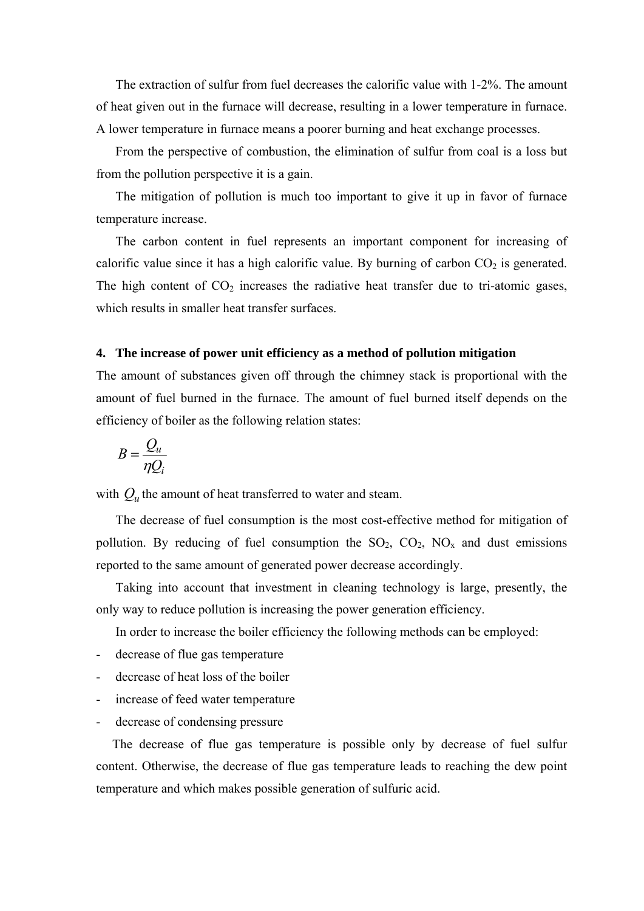The extraction of sulfur from fuel decreases the calorific value with 1-2%. The amount of heat given out in the furnace will decrease, resulting in a lower temperature in furnace. A lower temperature in furnace means a poorer burning and heat exchange processes.

From the perspective of combustion, the elimination of sulfur from coal is a loss but from the pollution perspective it is a gain.

The mitigation of pollution is much too important to give it up in favor of furnace temperature increase.

The carbon content in fuel represents an important component for increasing of calorific value since it has a high calorific value. By burning of carbon  $CO<sub>2</sub>$  is generated. The high content of  $CO<sub>2</sub>$  increases the radiative heat transfer due to tri-atomic gases, which results in smaller heat transfer surfaces.

## **4. The increase of power unit efficiency as a method of pollution mitigation**

The amount of substances given off through the chimney stack is proportional with the amount of fuel burned in the furnace. The amount of fuel burned itself depends on the efficiency of boiler as the following relation states:

$$
B=\frac{Q_u}{\eta Q_i}
$$

with  $Q_{\mu}$  the amount of heat transferred to water and steam.

 The decrease of fuel consumption is the most cost-effective method for mitigation of pollution. By reducing of fuel consumption the  $SO_2$ ,  $CO_2$ ,  $NO_x$  and dust emissions reported to the same amount of generated power decrease accordingly.

 Taking into account that investment in cleaning technology is large, presently, the only way to reduce pollution is increasing the power generation efficiency.

In order to increase the boiler efficiency the following methods can be employed:

- decrease of flue gas temperature
- decrease of heat loss of the boiler
- increase of feed water temperature
- decrease of condensing pressure

 The decrease of flue gas temperature is possible only by decrease of fuel sulfur content. Otherwise, the decrease of flue gas temperature leads to reaching the dew point temperature and which makes possible generation of sulfuric acid.